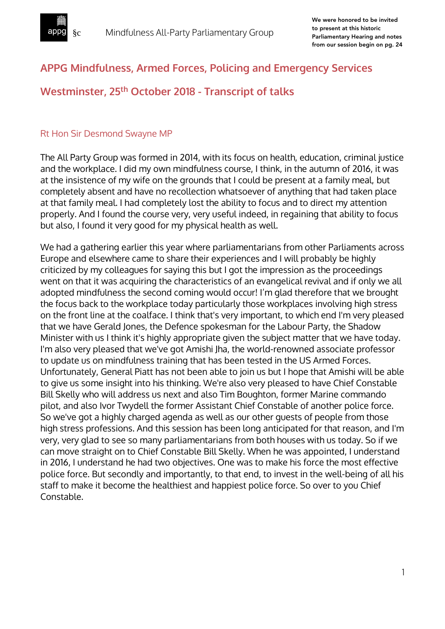

## **APPG Mindfulness, Armed Forces, Policing and Emergency Services**

# **Westminster, 25th October 2018 - Transcript of talks**

#### Rt Hon Sir Desmond Swayne MP

The All Party Group was formed in 2014, with its focus on health, education, criminal justice and the workplace. I did my own mindfulness course, I think, in the autumn of 2016, it was at the insistence of my wife on the grounds that I could be present at a family meal, but completely absent and have no recollection whatsoever of anything that had taken place at that family meal. I had completely lost the ability to focus and to direct my attention properly. And I found the course very, very useful indeed, in regaining that ability to focus but also, I found it very good for my physical health as well.

We had a gathering earlier this year where parliamentarians from other Parliaments across Europe and elsewhere came to share their experiences and I will probably be highly criticized by my colleagues for saying this but I got the impression as the proceedings went on that it was acquiring the characteristics of an evangelical revival and if only we all adopted mindfulness the second coming would occur! I'm glad therefore that we brought the focus back to the workplace today particularly those workplaces involving high stress on the front line at the coalface. I think that's very important, to which end I'm very pleased that we have Gerald Jones, the Defence spokesman for the Labour Party, the Shadow Minister with us I think it's highly appropriate given the subject matter that we have today. I'm also very pleased that we've got Amishi Jha, the world-renowned associate professor to update us on mindfulness training that has been tested in the US Armed Forces. Unfortunately, General Piatt has not been able to join us but I hope that Amishi will be able to give us some insight into his thinking. We're also very pleased to have Chief Constable Bill Skelly who will address us next and also Tim Boughton, former Marine commando pilot, and also Ivor Twydell the former Assistant Chief Constable of another police force. So we've got a highly charged agenda as well as our other guests of people from those high stress professions. And this session has been long anticipated for that reason, and I'm very, very glad to see so many parliamentarians from both houses with us today. So if we can move straight on to Chief Constable Bill Skelly. When he was appointed, I understand in 2016, I understand he had two objectives. One was to make his force the most effective police force. But secondly and importantly, to that end, to invest in the well-being of all his staff to make it become the healthiest and happiest police force. So over to you Chief Constable.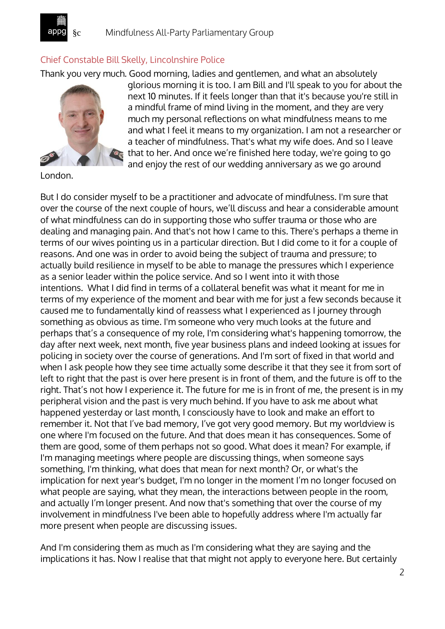

## Chief Constable Bill Skelly, Lincolnshire Police

Thank you very much. Good morning, ladies and gentlemen, and what an absolutely



glorious morning it is too. I am Bill and I'll speak to you for about the next 10 minutes. If it feels longer than that it's because you're still in a mindful frame of mind living in the moment, and they are very much my personal reflections on what mindfulness means to me and what I feel it means to my organization. I am not a researcher or a teacher of mindfulness. That's what my wife does. And so I leave that to her. And once we're finished here today, we're going to go and enjoy the rest of our wedding anniversary as we go around

London.

But I do consider myself to be a practitioner and advocate of mindfulness. I'm sure that over the course of the next couple of hours, we'll discuss and hear a considerable amount of what mindfulness can do in supporting those who suffer trauma or those who are dealing and managing pain. And that's not how I came to this. There's perhaps a theme in terms of our wives pointing us in a particular direction. But I did come to it for a couple of reasons. And one was in order to avoid being the subject of trauma and pressure; to actually build resilience in myself to be able to manage the pressures which I experience as a senior leader within the police service. And so I went into it with those intentions. What I did find in terms of a collateral benefit was what it meant for me in terms of my experience of the moment and bear with me for just a few seconds because it caused me to fundamentally kind of reassess what I experienced as I journey through something as obvious as time. I'm someone who very much looks at the future and perhaps that's a consequence of my role, I'm considering what's happening tomorrow, the day after next week, next month, five year business plans and indeed looking at issues for policing in society over the course of generations. And I'm sort of fixed in that world and when I ask people how they see time actually some describe it that they see it from sort of left to right that the past is over here present is in front of them, and the future is off to the right. That's not how I experience it. The future for me is in front of me, the present is in my peripheral vision and the past is very much behind. If you have to ask me about what happened yesterday or last month, I consciously have to look and make an effort to remember it. Not that I've bad memory, I've got very good memory. But my worldview is one where I'm focused on the future. And that does mean it has consequences. Some of them are good, some of them perhaps not so good. What does it mean? For example, if I'm managing meetings where people are discussing things, when someone says something, I'm thinking, what does that mean for next month? Or, or what's the implication for next year's budget, I'm no longer in the moment I'm no longer focused on what people are saying, what they mean, the interactions between people in the room, and actually I'm longer present. And now that's something that over the course of my involvement in mindfulness I've been able to hopefully address where I'm actually far more present when people are discussing issues.

And I'm considering them as much as I'm considering what they are saying and the implications it has. Now I realise that that might not apply to everyone here. But certainly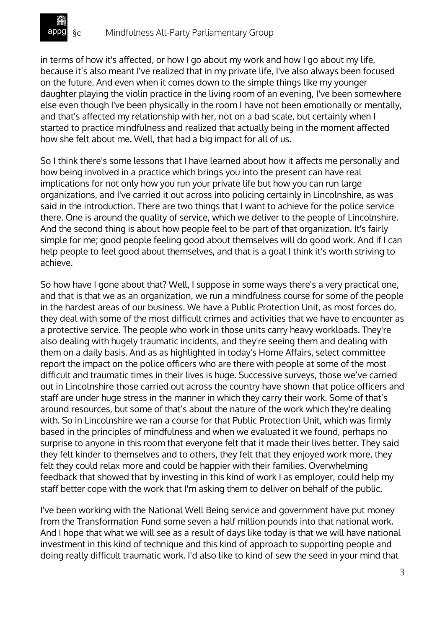

in terms of how it's affected, or how I go about my work and how I go about my life, because it's also meant I've realized that in my private life, I've also always been focused on the future. And even when it comes down to the simple things like my younger daughter playing the violin practice in the living room of an evening, I've been somewhere else even though I've been physically in the room I have not been emotionally or mentally, and that's affected my relationship with her, not on a bad scale, but certainly when I started to practice mindfulness and realized that actually being in the moment affected how she felt about me. Well, that had a big impact for all of us.

So I think there's some lessons that I have learned about how it affects me personally and how being involved in a practice which brings you into the present can have real implications for not only how you run your private life but how you can run large organizations, and I've carried it out across into policing certainly in Lincolnshire, as was said in the introduction. There are two things that I want to achieve for the police service there. One is around the quality of service, which we deliver to the people of Lincolnshire. And the second thing is about how people feel to be part of that organization. It's fairly simple for me; good people feeling good about themselves will do good work. And if I can help people to feel good about themselves, and that is a goal I think it's worth striving to achieve.

So how have I gone about that? Well, I suppose in some ways there's a very practical one, and that is that we as an organization, we run a mindfulness course for some of the people in the hardest areas of our business. We have a Public Protection Unit, as most forces do, they deal with some of the most difficult crimes and activities that we have to encounter as a protective service. The people who work in those units carry heavy workloads. They're also dealing with hugely traumatic incidents, and they're seeing them and dealing with them on a daily basis. And as as highlighted in today's Home Affairs, select committee report the impact on the police officers who are there with people at some of the most difficult and traumatic times in their lives is huge. Successive surveys, those we've carried out in Lincolnshire those carried out across the country have shown that police officers and staff are under huge stress in the manner in which they carry their work. Some of that's around resources, but some of that's about the nature of the work which they're dealing with. So in Lincolnshire we ran a course for that Public Protection Unit, which was firmly based in the principles of mindfulness and when we evaluated it we found, perhaps no surprise to anyone in this room that everyone felt that it made their lives better. They said they felt kinder to themselves and to others, they felt that they enjoyed work more, they felt they could relax more and could be happier with their families. Overwhelming feedback that showed that by investing in this kind of work I as employer, could help my staff better cope with the work that I'm asking them to deliver on behalf of the public.

I've been working with the National Well Being service and government have put money from the Transformation Fund some seven a half million pounds into that national work. And I hope that what we will see as a result of days like today is that we will have national investment in this kind of technique and this kind of approach to supporting people and doing really difficult traumatic work. I'd also like to kind of sew the seed in your mind that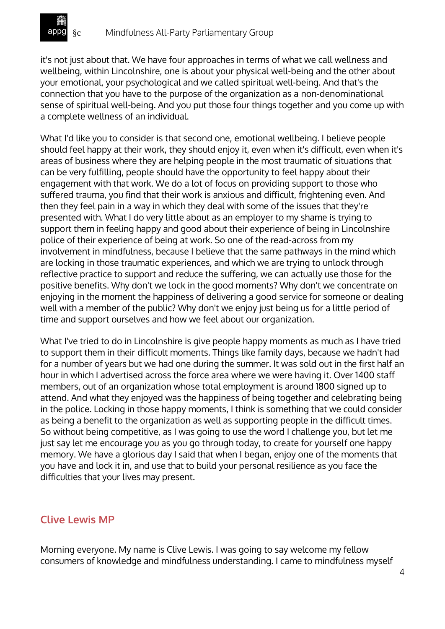it's not just about that. We have four approaches in terms of what we call wellness and wellbeing, within Lincolnshire, one is about your physical well-being and the other about your emotional, your psychological and we called spiritual well-being. And that's the connection that you have to the purpose of the organization as a non-denominational sense of spiritual well-being. And you put those four things together and you come up with a complete wellness of an individual.

What I'd like you to consider is that second one, emotional wellbeing. I believe people should feel happy at their work, they should enjoy it, even when it's difficult, even when it's areas of business where they are helping people in the most traumatic of situations that can be very fulfilling, people should have the opportunity to feel happy about their engagement with that work. We do a lot of focus on providing support to those who suffered trauma, you find that their work is anxious and difficult, frightening even. And then they feel pain in a way in which they deal with some of the issues that they're presented with. What I do very little about as an employer to my shame is trying to support them in feeling happy and good about their experience of being in Lincolnshire police of their experience of being at work. So one of the read-across from my involvement in mindfulness, because I believe that the same pathways in the mind which are locking in those traumatic experiences, and which we are trying to unlock through reflective practice to support and reduce the suffering, we can actually use those for the positive benefits. Why don't we lock in the good moments? Why don't we concentrate on enjoying in the moment the happiness of delivering a good service for someone or dealing well with a member of the public? Why don't we enjoy just being us for a little period of time and support ourselves and how we feel about our organization.

What I've tried to do in Lincolnshire is give people happy moments as much as I have tried to support them in their difficult moments. Things like family days, because we hadn't had for a number of years but we had one during the summer. It was sold out in the first half an hour in which I advertised across the force area where we were having it. Over 1400 staff members, out of an organization whose total employment is around 1800 signed up to attend. And what they enjoyed was the happiness of being together and celebrating being in the police. Locking in those happy moments, I think is something that we could consider as being a benefit to the organization as well as supporting people in the difficult times. So without being competitive, as I was going to use the word I challenge you, but let me just say let me encourage you as you go through today, to create for yourself one happy memory. We have a glorious day I said that when I began, enjoy one of the moments that you have and lock it in, and use that to build your personal resilience as you face the difficulties that your lives may present.

# **Clive Lewis MP**

Morning everyone. My name is Clive Lewis. I was going to say welcome my fellow consumers of knowledge and mindfulness understanding. I came to mindfulness myself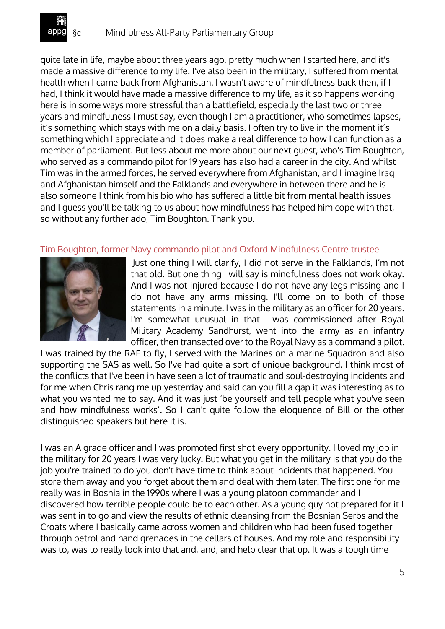quite late in life, maybe about three years ago, pretty much when I started here, and it's made a massive difference to my life. I've also been in the military, I suffered from mental health when I came back from Afghanistan. I wasn't aware of mindfulness back then, if I had, I think it would have made a massive difference to my life, as it so happens working here is in some ways more stressful than a battlefield, especially the last two or three years and mindfulness I must say, even though I am a practitioner, who sometimes lapses, it's something which stays with me on a daily basis. I often try to live in the moment it's something which I appreciate and it does make a real difference to how I can function as a member of parliament. But less about me more about our next guest, who's Tim Boughton, who served as a commando pilot for 19 years has also had a career in the city. And whilst Tim was in the armed forces, he served everywhere from Afghanistan, and I imagine Iraq and Afghanistan himself and the Falklands and everywhere in between there and he is also someone I think from his bio who has suffered a little bit from mental health issues and I guess you'll be talking to us about how mindfulness has helped him cope with that, so without any further ado, Tim Boughton. Thank you.

#### Tim Boughton, former Navy commando pilot and Oxford Mindfulness Centre trustee



Just one thing I will clarify, I did not serve in the Falklands, I'm not that old. But one thing I will say is mindfulness does not work okay. And I was not injured because I do not have any legs missing and I do not have any arms missing. I'll come on to both of those statements in a minute. I was in the military as an officer for 20 years. I'm somewhat unusual in that I was commissioned after Royal Military Academy Sandhurst, went into the army as an infantry officer, then transected over to the Royal Navy as a command a pilot.

I was trained by the RAF to fly, I served with the Marines on a marine Squadron and also supporting the SAS as well. So I've had quite a sort of unique background. I think most of the conflicts that I've been in have seen a lot of traumatic and soul-destroying incidents and for me when Chris rang me up yesterday and said can you fill a gap it was interesting as to what you wanted me to say. And it was just 'be yourself and tell people what you've seen and how mindfulness works'. So I can't quite follow the eloquence of Bill or the other distinguished speakers but here it is.

I was an A grade officer and I was promoted first shot every opportunity. I loved my job in the military for 20 years I was very lucky. But what you get in the military is that you do the job you're trained to do you don't have time to think about incidents that happened. You store them away and you forget about them and deal with them later. The first one for me really was in Bosnia in the 1990s where I was a young platoon commander and I discovered how terrible people could be to each other. As a young guy not prepared for it I was sent in to go and view the results of ethnic cleansing from the Bosnian Serbs and the Croats where I basically came across women and children who had been fused together through petrol and hand grenades in the cellars of houses. And my role and responsibility was to, was to really look into that and, and, and help clear that up. It was a tough time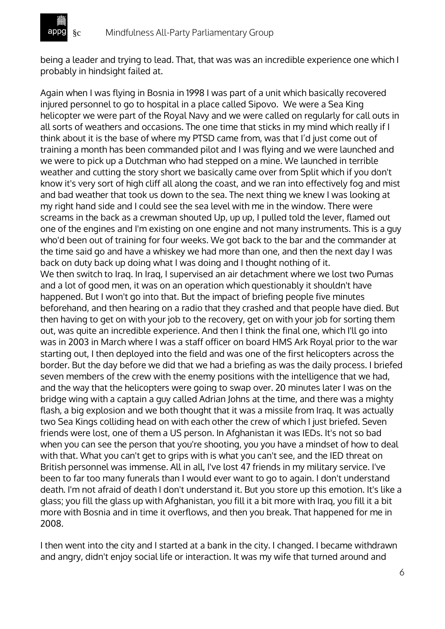being a leader and trying to lead. That, that was was an incredible experience one which I probably in hindsight failed at.

Again when I was flying in Bosnia in 1998 I was part of a unit which basically recovered injured personnel to go to hospital in a place called Sipovo. We were a Sea King helicopter we were part of the Royal Navy and we were called on regularly for call outs in all sorts of weathers and occasions. The one time that sticks in my mind which really if I think about it is the base of where my PTSD came from, was that I'd just come out of training a month has been commanded pilot and I was flying and we were launched and we were to pick up a Dutchman who had stepped on a mine. We launched in terrible weather and cutting the story short we basically came over from Split which if you don't know it's very sort of high cliff all along the coast, and we ran into effectively fog and mist and bad weather that took us down to the sea. The next thing we knew I was looking at my right hand side and I could see the sea level with me in the window. There were screams in the back as a crewman shouted Up, up up, I pulled told the lever, flamed out one of the engines and I'm existing on one engine and not many instruments. This is a guy who'd been out of training for four weeks. We got back to the bar and the commander at the time said go and have a whiskey we had more than one, and then the next day I was back on duty back up doing what I was doing and I thought nothing of it. We then switch to Iraq. In Iraq, I supervised an air detachment where we lost two Pumas and a lot of good men, it was on an operation which questionably it shouldn't have happened. But I won't go into that. But the impact of briefing people five minutes beforehand, and then hearing on a radio that they crashed and that people have died. But then having to get on with your job to the recovery, get on with your job for sorting them out, was quite an incredible experience. And then I think the final one, which I'll go into was in 2003 in March where I was a staff officer on board HMS Ark Royal prior to the war starting out, I then deployed into the field and was one of the first helicopters across the border. But the day before we did that we had a briefing as was the daily process. I briefed seven members of the crew with the enemy positions with the intelligence that we had, and the way that the helicopters were going to swap over. 20 minutes later I was on the bridge wing with a captain a guy called Adrian Johns at the time, and there was a mighty flash, a big explosion and we both thought that it was a missile from Iraq. It was actually two Sea Kings colliding head on with each other the crew of which I just briefed. Seven friends were lost, one of them a US person. In Afghanistan it was IEDs. It's not so bad when you can see the person that you're shooting, you you have a mindset of how to deal with that. What you can't get to grips with is what you can't see, and the IED threat on British personnel was immense. All in all, I've lost 47 friends in my military service. I've been to far too many funerals than I would ever want to go to again. I don't understand death. I'm not afraid of death I don't understand it. But you store up this emotion. It's like a glass; you fill the glass up with Afghanistan, you fill it a bit more with Iraq, you fill it a bit more with Bosnia and in time it overflows, and then you break. That happened for me in 2008.

I then went into the city and I started at a bank in the city. I changed. I became withdrawn and angry, didn't enjoy social life or interaction. It was my wife that turned around and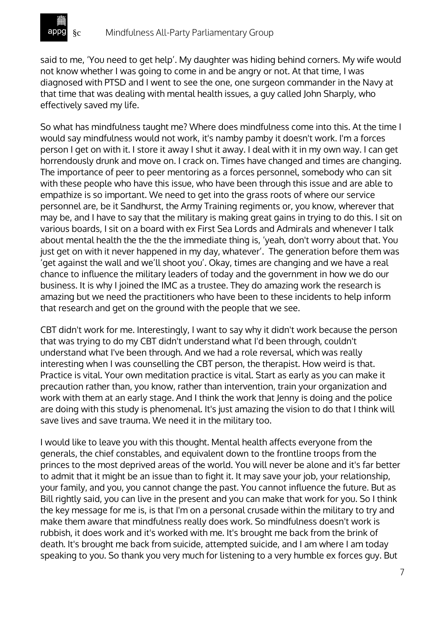

said to me, 'You need to get help'. My daughter was hiding behind corners. My wife would not know whether I was going to come in and be angry or not. At that time, I was diagnosed with PTSD and I went to see the one, one surgeon commander in the Navy at that time that was dealing with mental health issues, a guy called John Sharply, who effectively saved my life.

So what has mindfulness taught me? Where does mindfulness come into this. At the time I would say mindfulness would not work, it's namby pamby it doesn't work. I'm a forces person I get on with it. I store it away I shut it away. I deal with it in my own way. I can get horrendously drunk and move on. I crack on. Times have changed and times are changing. The importance of peer to peer mentoring as a forces personnel, somebody who can sit with these people who have this issue, who have been through this issue and are able to empathize is so important. We need to get into the grass roots of where our service personnel are, be it Sandhurst, the Army Training regiments or, you know, wherever that may be, and I have to say that the military is making great gains in trying to do this. I sit on various boards, I sit on a board with ex First Sea Lords and Admirals and whenever I talk about mental health the the the the immediate thing is, 'yeah, don't worry about that. You just get on with it never happened in my day, whatever'. The generation before them was 'get against the wall and we'll shoot you'. Okay, times are changing and we have a real chance to influence the military leaders of today and the government in how we do our business. It is why I joined the IMC as a trustee. They do amazing work the research is amazing but we need the practitioners who have been to these incidents to help inform that research and get on the ground with the people that we see.

CBT didn't work for me. Interestingly, I want to say why it didn't work because the person that was trying to do my CBT didn't understand what I'd been through, couldn't understand what I've been through. And we had a role reversal, which was really interesting when I was counselling the CBT person, the therapist. How weird is that. Practice is vital. Your own meditation practice is vital. Start as early as you can make it precaution rather than, you know, rather than intervention, train your organization and work with them at an early stage. And I think the work that Jenny is doing and the police are doing with this study is phenomenal. It's just amazing the vision to do that I think will save lives and save trauma. We need it in the military too.

I would like to leave you with this thought. Mental health affects everyone from the generals, the chief constables, and equivalent down to the frontline troops from the princes to the most deprived areas of the world. You will never be alone and it's far better to admit that it might be an issue than to fight it. It may save your job, your relationship, your family, and you, you cannot change the past. You cannot influence the future. But as Bill rightly said, you can live in the present and you can make that work for you. So I think the key message for me is, is that I'm on a personal crusade within the military to try and make them aware that mindfulness really does work. So mindfulness doesn't work is rubbish, it does work and it's worked with me. It's brought me back from the brink of death. It's brought me back from suicide, attempted suicide, and I am where I am today speaking to you. So thank you very much for listening to a very humble ex forces guy. But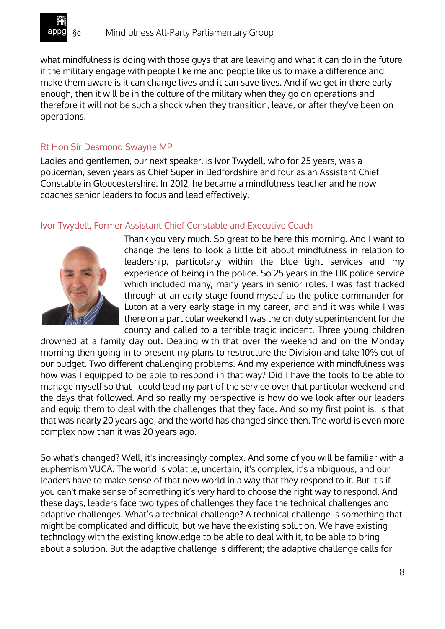

what mindfulness is doing with those guys that are leaving and what it can do in the future if the military engage with people like me and people like us to make a difference and make them aware is it can change lives and it can save lives. And if we get in there early enough, then it will be in the culture of the military when they go on operations and therefore it will not be such a shock when they transition, leave, or after they've been on operations.

#### Rt Hon Sir Desmond Swayne MP

Ladies and gentlemen, our next speaker, is Ivor Twydell, who for 25 years, was a policeman, seven years as Chief Super in Bedfordshire and four as an Assistant Chief Constable in Gloucestershire. In 2012, he became a mindfulness teacher and he now coaches senior leaders to focus and lead effectively.

#### Ivor Twydell, Former Assistant Chief Constable and Executive Coach



Thank you very much. So great to be here this morning. And I want to change the lens to look a little bit about mindfulness in relation to leadership, particularly within the blue light services and my experience of being in the police. So 25 years in the UK police service which included many, many years in senior roles. I was fast tracked through at an early stage found myself as the police commander for Luton at a very early stage in my career, and and it was while I was there on a particular weekend I was the on duty superintendent for the county and called to a terrible tragic incident. Three young children

drowned at a family day out. Dealing with that over the weekend and on the Monday morning then going in to present my plans to restructure the Division and take 10% out of our budget. Two different challenging problems. And my experience with mindfulness was how was I equipped to be able to respond in that way? Did I have the tools to be able to manage myself so that I could lead my part of the service over that particular weekend and the days that followed. And so really my perspective is how do we look after our leaders and equip them to deal with the challenges that they face. And so my first point is, is that that was nearly 20 years ago, and the world has changed since then. The world is even more complex now than it was 20 years ago.

So what's changed? Well, it's increasingly complex. And some of you will be familiar with a euphemism VUCA. The world is volatile, uncertain, it's complex, it's ambiguous, and our leaders have to make sense of that new world in a way that they respond to it. But it's if you can't make sense of something it's very hard to choose the right way to respond. And these days, leaders face two types of challenges they face the technical challenges and adaptive challenges. What's a technical challenge? A technical challenge is something that might be complicated and difficult, but we have the existing solution. We have existing technology with the existing knowledge to be able to deal with it, to be able to bring about a solution. But the adaptive challenge is different; the adaptive challenge calls for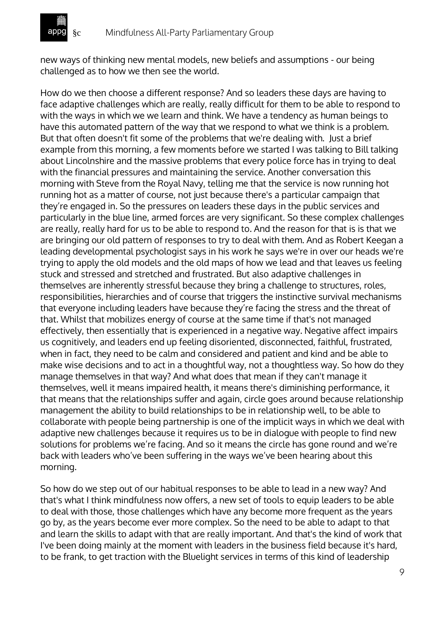new ways of thinking new mental models, new beliefs and assumptions - our being challenged as to how we then see the world.

How do we then choose a different response? And so leaders these days are having to face adaptive challenges which are really, really difficult for them to be able to respond to with the ways in which we we learn and think. We have a tendency as human beings to have this automated pattern of the way that we respond to what we think is a problem. But that often doesn't fit some of the problems that we're dealing with. Just a brief example from this morning, a few moments before we started I was talking to Bill talking about Lincolnshire and the massive problems that every police force has in trying to deal with the financial pressures and maintaining the service. Another conversation this morning with Steve from the Royal Navy, telling me that the service is now running hot running hot as a matter of course, not just because there's a particular campaign that they're engaged in. So the pressures on leaders these days in the public services and particularly in the blue line, armed forces are very significant. So these complex challenges are really, really hard for us to be able to respond to. And the reason for that is is that we are bringing our old pattern of responses to try to deal with them. And as Robert Keegan a leading developmental psychologist says in his work he says we're in over our heads we're trying to apply the old models and the old maps of how we lead and that leaves us feeling stuck and stressed and stretched and frustrated. But also adaptive challenges in themselves are inherently stressful because they bring a challenge to structures, roles, responsibilities, hierarchies and of course that triggers the instinctive survival mechanisms that everyone including leaders have because they're facing the stress and the threat of that. Whilst that mobilizes energy of course at the same time if that's not managed effectively, then essentially that is experienced in a negative way. Negative affect impairs us cognitively, and leaders end up feeling disoriented, disconnected, faithful, frustrated, when in fact, they need to be calm and considered and patient and kind and be able to make wise decisions and to act in a thoughtful way, not a thoughtless way. So how do they manage themselves in that way? And what does that mean if they can't manage it themselves, well it means impaired health, it means there's diminishing performance, it that means that the relationships suffer and again, circle goes around because relationship management the ability to build relationships to be in relationship well, to be able to collaborate with people being partnership is one of the implicit ways in which we deal with adaptive new challenges because it requires us to be in dialogue with people to find new solutions for problems we're facing. And so it means the circle has gone round and we're back with leaders who've been suffering in the ways we've been hearing about this morning.

So how do we step out of our habitual responses to be able to lead in a new way? And that's what I think mindfulness now offers, a new set of tools to equip leaders to be able to deal with those, those challenges which have any become more frequent as the years go by, as the years become ever more complex. So the need to be able to adapt to that and learn the skills to adapt with that are really important. And that's the kind of work that I've been doing mainly at the moment with leaders in the business field because it's hard, to be frank, to get traction with the Bluelight services in terms of this kind of leadership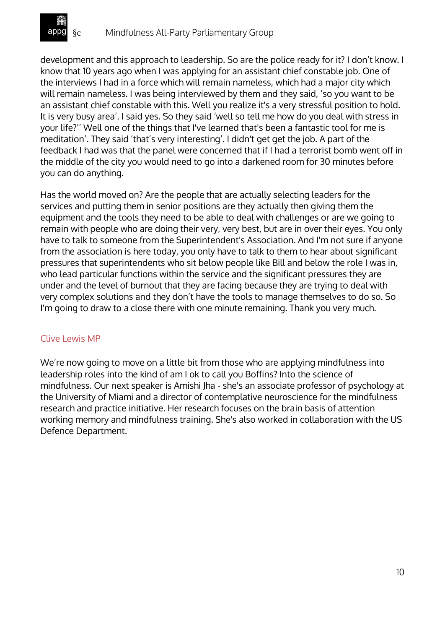

development and this approach to leadership. So are the police ready for it? I don't know. I know that 10 years ago when I was applying for an assistant chief constable job. One of the interviews I had in a force which will remain nameless, which had a major city which will remain nameless. I was being interviewed by them and they said, 'so you want to be an assistant chief constable with this. Well you realize it's a very stressful position to hold. It is very busy area'. I said yes. So they said 'well so tell me how do you deal with stress in your life?'' Well one of the things that I've learned that's been a fantastic tool for me is meditation'. They said 'that's very interesting'. I didn't get get the job. A part of the feedback I had was that the panel were concerned that if I had a terrorist bomb went off in the middle of the city you would need to go into a darkened room for 30 minutes before you can do anything.

Has the world moved on? Are the people that are actually selecting leaders for the services and putting them in senior positions are they actually then giving them the equipment and the tools they need to be able to deal with challenges or are we going to remain with people who are doing their very, very best, but are in over their eyes. You only have to talk to someone from the Superintendent's Association. And I'm not sure if anyone from the association is here today, you only have to talk to them to hear about significant pressures that superintendents who sit below people like Bill and below the role I was in, who lead particular functions within the service and the significant pressures they are under and the level of burnout that they are facing because they are trying to deal with very complex solutions and they don't have the tools to manage themselves to do so. So I'm going to draw to a close there with one minute remaining. Thank you very much.

### Clive Lewis MP

We're now going to move on a little bit from those who are applying mindfulness into leadership roles into the kind of am I ok to call you Boffins? Into the science of mindfulness. Our next speaker is Amishi Jha - she's an associate professor of psychology at the University of Miami and a director of contemplative neuroscience for the mindfulness research and practice initiative. Her research focuses on the brain basis of attention working memory and mindfulness training. She's also worked in collaboration with the US Defence Department.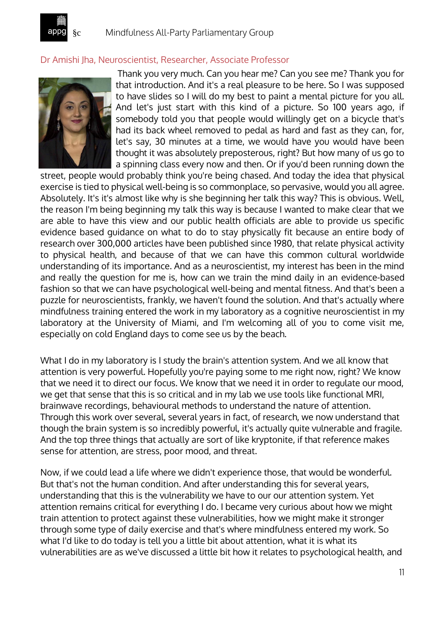

## Dr Amishi Jha, Neuroscientist, Researcher, Associate Professor



Thank you very much. Can you hear me? Can you see me? Thank you for that introduction. And it's a real pleasure to be here. So I was supposed to have slides so I will do my best to paint a mental picture for you all. And let's just start with this kind of a picture. So 100 years ago, if somebody told you that people would willingly get on a bicycle that's had its back wheel removed to pedal as hard and fast as they can, for, let's say, 30 minutes at a time, we would have you would have been thought it was absolutely preposterous, right? But how many of us go to a spinning class every now and then. Or if you'd been running down the

street, people would probably think you're being chased. And today the idea that physical exercise is tied to physical well-being is so commonplace, so pervasive, would you all agree. Absolutely. It's it's almost like why is she beginning her talk this way? This is obvious. Well, the reason I'm being beginning my talk this way is because I wanted to make clear that we are able to have this view and our public health officials are able to provide us specific evidence based guidance on what to do to stay physically fit because an entire body of research over 300,000 articles have been published since 1980, that relate physical activity to physical health, and because of that we can have this common cultural worldwide understanding of its importance. And as a neuroscientist, my interest has been in the mind and really the question for me is, how can we train the mind daily in an evidence-based fashion so that we can have psychological well-being and mental fitness. And that's been a puzzle for neuroscientists, frankly, we haven't found the solution. And that's actually where mindfulness training entered the work in my laboratory as a cognitive neuroscientist in my laboratory at the University of Miami, and I'm welcoming all of you to come visit me, especially on cold England days to come see us by the beach.

What I do in my laboratory is I study the brain's attention system. And we all know that attention is very powerful. Hopefully you're paying some to me right now, right? We know that we need it to direct our focus. We know that we need it in order to regulate our mood, we get that sense that this is so critical and in my lab we use tools like functional MRI, brainwave recordings, behavioural methods to understand the nature of attention. Through this work over several, several years in fact, of research, we now understand that though the brain system is so incredibly powerful, it's actually quite vulnerable and fragile. And the top three things that actually are sort of like kryptonite, if that reference makes sense for attention, are stress, poor mood, and threat.

Now, if we could lead a life where we didn't experience those, that would be wonderful. But that's not the human condition. And after understanding this for several years, understanding that this is the vulnerability we have to our our attention system. Yet attention remains critical for everything I do. I became very curious about how we might train attention to protect against these vulnerabilities, how we might make it stronger through some type of daily exercise and that's where mindfulness entered my work. So what I'd like to do today is tell you a little bit about attention, what it is what its vulnerabilities are as we've discussed a little bit how it relates to psychological health, and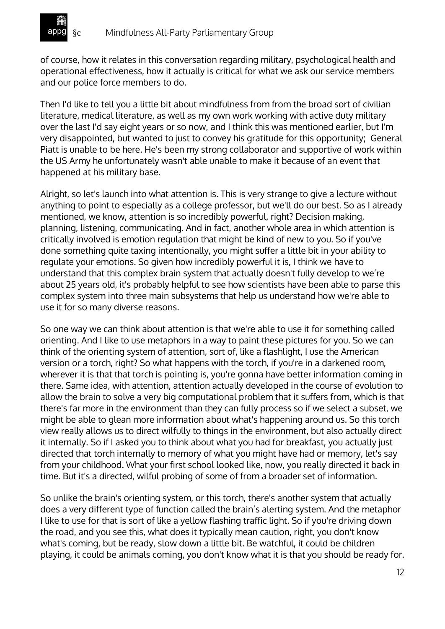of course, how it relates in this conversation regarding military, psychological health and operational effectiveness, how it actually is critical for what we ask our service members and our police force members to do.

Then I'd like to tell you a little bit about mindfulness from from the broad sort of civilian literature, medical literature, as well as my own work working with active duty military over the last I'd say eight years or so now, and I think this was mentioned earlier, but I'm very disappointed, but wanted to just to convey his gratitude for this opportunity; General Piatt is unable to be here. He's been my strong collaborator and supportive of work within the US Army he unfortunately wasn't able unable to make it because of an event that happened at his military base.

Alright, so let's launch into what attention is. This is very strange to give a lecture without anything to point to especially as a college professor, but we'll do our best. So as I already mentioned, we know, attention is so incredibly powerful, right? Decision making, planning, listening, communicating. And in fact, another whole area in which attention is critically involved is emotion regulation that might be kind of new to you. So if you've done something quite taxing intentionally, you might suffer a little bit in your ability to regulate your emotions. So given how incredibly powerful it is, I think we have to understand that this complex brain system that actually doesn't fully develop to we're about 25 years old, it's probably helpful to see how scientists have been able to parse this complex system into three main subsystems that help us understand how we're able to use it for so many diverse reasons.

So one way we can think about attention is that we're able to use it for something called orienting. And I like to use metaphors in a way to paint these pictures for you. So we can think of the orienting system of attention, sort of, like a flashlight, I use the American version or a torch, right? So what happens with the torch, if you're in a darkened room, wherever it is that that torch is pointing is, you're gonna have better information coming in there. Same idea, with attention, attention actually developed in the course of evolution to allow the brain to solve a very big computational problem that it suffers from, which is that there's far more in the environment than they can fully process so if we select a subset, we might be able to glean more information about what's happening around us. So this torch view really allows us to direct wilfully to things in the environment, but also actually direct it internally. So if I asked you to think about what you had for breakfast, you actually just directed that torch internally to memory of what you might have had or memory, let's say from your childhood. What your first school looked like, now, you really directed it back in time. But it's a directed, wilful probing of some of from a broader set of information.

So unlike the brain's orienting system, or this torch, there's another system that actually does a very different type of function called the brain's alerting system. And the metaphor I like to use for that is sort of like a yellow flashing traffic light. So if you're driving down the road, and you see this, what does it typically mean caution, right, you don't know what's coming, but be ready, slow down a little bit. Be watchful, it could be children playing, it could be animals coming, you don't know what it is that you should be ready for.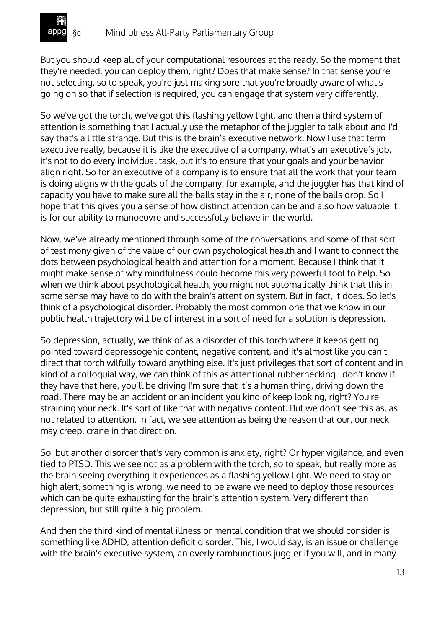

But you should keep all of your computational resources at the ready. So the moment that they're needed, you can deploy them, right? Does that make sense? In that sense you're not selecting, so to speak, you're just making sure that you're broadly aware of what's going on so that if selection is required, you can engage that system very differently.

So we've got the torch, we've got this flashing yellow light, and then a third system of attention is something that I actually use the metaphor of the juggler to talk about and I'd say that's a little strange. But this is the brain's executive network. Now I use that term executive really, because it is like the executive of a company, what's an executive's job, it's not to do every individual task, but it's to ensure that your goals and your behavior align right. So for an executive of a company is to ensure that all the work that your team is doing aligns with the goals of the company, for example, and the juggler has that kind of capacity you have to make sure all the balls stay in the air, none of the balls drop. So I hope that this gives you a sense of how distinct attention can be and also how valuable it is for our ability to manoeuvre and successfully behave in the world.

Now, we've already mentioned through some of the conversations and some of that sort of testimony given of the value of our own psychological health and I want to connect the dots between psychological health and attention for a moment. Because I think that it might make sense of why mindfulness could become this very powerful tool to help. So when we think about psychological health, you might not automatically think that this in some sense may have to do with the brain's attention system. But in fact, it does. So let's think of a psychological disorder. Probably the most common one that we know in our public health trajectory will be of interest in a sort of need for a solution is depression.

So depression, actually, we think of as a disorder of this torch where it keeps getting pointed toward depressogenic content, negative content, and it's almost like you can't direct that torch wilfully toward anything else. It's just privileges that sort of content and in kind of a colloquial way, we can think of this as attentional rubbernecking I don't know if they have that here, you'll be driving I'm sure that it's a human thing, driving down the road. There may be an accident or an incident you kind of keep looking, right? You're straining your neck. It's sort of like that with negative content. But we don't see this as, as not related to attention. In fact, we see attention as being the reason that our, our neck may creep, crane in that direction.

So, but another disorder that's very common is anxiety, right? Or hyper vigilance, and even tied to PTSD. This we see not as a problem with the torch, so to speak, but really more as the brain seeing everything it experiences as a flashing yellow light. We need to stay on high alert, something is wrong, we need to be aware we need to deploy those resources which can be quite exhausting for the brain's attention system. Very different than depression, but still quite a big problem.

And then the third kind of mental illness or mental condition that we should consider is something like ADHD, attention deficit disorder. This, I would say, is an issue or challenge with the brain's executive system, an overly rambunctious juggler if you will, and in many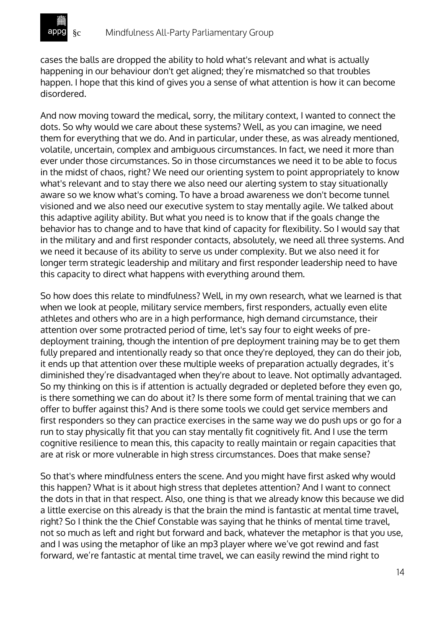

cases the balls are dropped the ability to hold what's relevant and what is actually happening in our behaviour don't get aligned; they're mismatched so that troubles happen. I hope that this kind of gives you a sense of what attention is how it can become disordered.

And now moving toward the medical, sorry, the military context, I wanted to connect the dots. So why would we care about these systems? Well, as you can imagine, we need them for everything that we do. And in particular, under these, as was already mentioned, volatile, uncertain, complex and ambiguous circumstances. In fact, we need it more than ever under those circumstances. So in those circumstances we need it to be able to focus in the midst of chaos, right? We need our orienting system to point appropriately to know what's relevant and to stay there we also need our alerting system to stay situationally aware so we know what's coming. To have a broad awareness we don't become tunnel visioned and we also need our executive system to stay mentally agile. We talked about this adaptive agility ability. But what you need is to know that if the goals change the behavior has to change and to have that kind of capacity for flexibility. So I would say that in the military and and first responder contacts, absolutely, we need all three systems. And we need it because of its ability to serve us under complexity. But we also need it for longer term strategic leadership and military and first responder leadership need to have this capacity to direct what happens with everything around them.

So how does this relate to mindfulness? Well, in my own research, what we learned is that when we look at people, military service members, first responders, actually even elite athletes and others who are in a high performance, high demand circumstance, their attention over some protracted period of time, let's say four to eight weeks of predeployment training, though the intention of pre deployment training may be to get them fully prepared and intentionally ready so that once they're deployed, they can do their job, it ends up that attention over these multiple weeks of preparation actually degrades, it's diminished they're disadvantaged when they're about to leave. Not optimally advantaged. So my thinking on this is if attention is actually degraded or depleted before they even go, is there something we can do about it? Is there some form of mental training that we can offer to buffer against this? And is there some tools we could get service members and first responders so they can practice exercises in the same way we do push ups or go for a run to stay physically fit that you can stay mentally fit cognitively fit. And I use the term cognitive resilience to mean this, this capacity to really maintain or regain capacities that are at risk or more vulnerable in high stress circumstances. Does that make sense?

So that's where mindfulness enters the scene. And you might have first asked why would this happen? What is it about high stress that depletes attention? And I want to connect the dots in that in that respect. Also, one thing is that we already know this because we did a little exercise on this already is that the brain the mind is fantastic at mental time travel, right? So I think the the Chief Constable was saying that he thinks of mental time travel, not so much as left and right but forward and back, whatever the metaphor is that you use, and I was using the metaphor of like an mp3 player where we've got rewind and fast forward, we're fantastic at mental time travel, we can easily rewind the mind right to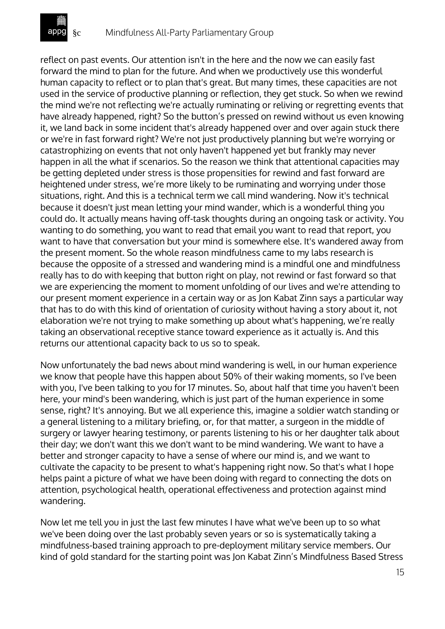

reflect on past events. Our attention isn't in the here and the now we can easily fast forward the mind to plan for the future. And when we productively use this wonderful human capacity to reflect or to plan that's great. But many times, these capacities are not used in the service of productive planning or reflection, they get stuck. So when we rewind the mind we're not reflecting we're actually ruminating or reliving or regretting events that have already happened, right? So the button's pressed on rewind without us even knowing it, we land back in some incident that's already happened over and over again stuck there or we're in fast forward right? We're not just productively planning but we're worrying or catastrophizing on events that not only haven't happened yet but frankly may never happen in all the what if scenarios. So the reason we think that attentional capacities may be getting depleted under stress is those propensities for rewind and fast forward are heightened under stress, we're more likely to be ruminating and worrying under those situations, right. And this is a technical term we call mind wandering. Now it's technical because it doesn't just mean letting your mind wander, which is a wonderful thing you could do. It actually means having off-task thoughts during an ongoing task or activity. You wanting to do something, you want to read that email you want to read that report, you want to have that conversation but your mind is somewhere else. It's wandered away from the present moment. So the whole reason mindfulness came to my labs research is because the opposite of a stressed and wandering mind is a mindful one and mindfulness really has to do with keeping that button right on play, not rewind or fast forward so that we are experiencing the moment to moment unfolding of our lives and we're attending to our present moment experience in a certain way or as Jon Kabat Zinn says a particular way that has to do with this kind of orientation of curiosity without having a story about it, not elaboration we're not trying to make something up about what's happening, we're really taking an observational receptive stance toward experience as it actually is. And this returns our attentional capacity back to us so to speak.

Now unfortunately the bad news about mind wandering is well, in our human experience we know that people have this happen about 50% of their waking moments, so I've been with you, I've been talking to you for 17 minutes. So, about half that time you haven't been here, your mind's been wandering, which is just part of the human experience in some sense, right? It's annoying. But we all experience this, imagine a soldier watch standing or a general listening to a military briefing, or, for that matter, a surgeon in the middle of surgery or lawyer hearing testimony, or parents listening to his or her daughter talk about their day; we don't want this we don't want to be mind wandering. We want to have a better and stronger capacity to have a sense of where our mind is, and we want to cultivate the capacity to be present to what's happening right now. So that's what I hope helps paint a picture of what we have been doing with regard to connecting the dots on attention, psychological health, operational effectiveness and protection against mind wandering.

Now let me tell you in just the last few minutes I have what we've been up to so what we've been doing over the last probably seven years or so is systematically taking a mindfulness-based training approach to pre-deployment military service members. Our kind of gold standard for the starting point was Jon Kabat Zinn's Mindfulness Based Stress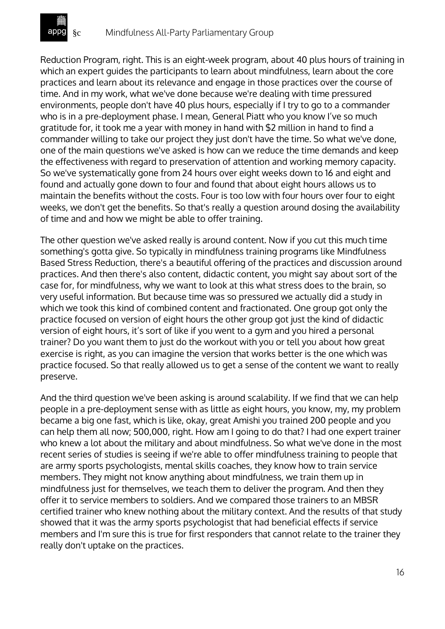

Reduction Program, right. This is an eight-week program, about 40 plus hours of training in which an expert guides the participants to learn about mindfulness, learn about the core practices and learn about its relevance and engage in those practices over the course of time. And in my work, what we've done because we're dealing with time pressured environments, people don't have 40 plus hours, especially if I try to go to a commander who is in a pre-deployment phase. I mean, General Piatt who you know I've so much gratitude for, it took me a year with money in hand with \$2 million in hand to find a commander willing to take our project they just don't have the time. So what we've done, one of the main questions we've asked is how can we reduce the time demands and keep the effectiveness with regard to preservation of attention and working memory capacity. So we've systematically gone from 24 hours over eight weeks down to 16 and eight and found and actually gone down to four and found that about eight hours allows us to maintain the benefits without the costs. Four is too low with four hours over four to eight weeks, we don't get the benefits. So that's really a question around dosing the availability of time and and how we might be able to offer training.

The other question we've asked really is around content. Now if you cut this much time something's gotta give. So typically in mindfulness training programs like Mindfulness Based Stress Reduction, there's a beautiful offering of the practices and discussion around practices. And then there's also content, didactic content, you might say about sort of the case for, for mindfulness, why we want to look at this what stress does to the brain, so very useful information. But because time was so pressured we actually did a study in which we took this kind of combined content and fractionated. One group got only the practice focused on version of eight hours the other group got just the kind of didactic version of eight hours, it's sort of like if you went to a gym and you hired a personal trainer? Do you want them to just do the workout with you or tell you about how great exercise is right, as you can imagine the version that works better is the one which was practice focused. So that really allowed us to get a sense of the content we want to really preserve.

And the third question we've been asking is around scalability. If we find that we can help people in a pre-deployment sense with as little as eight hours, you know, my, my problem became a big one fast, which is like, okay, great Amishi you trained 200 people and you can help them all now; 500,000, right. How am I going to do that? I had one expert trainer who knew a lot about the military and about mindfulness. So what we've done in the most recent series of studies is seeing if we're able to offer mindfulness training to people that are army sports psychologists, mental skills coaches, they know how to train service members. They might not know anything about mindfulness, we train them up in mindfulness just for themselves, we teach them to deliver the program. And then they offer it to service members to soldiers. And we compared those trainers to an MBSR certified trainer who knew nothing about the military context. And the results of that study showed that it was the army sports psychologist that had beneficial effects if service members and I'm sure this is true for first responders that cannot relate to the trainer they really don't uptake on the practices.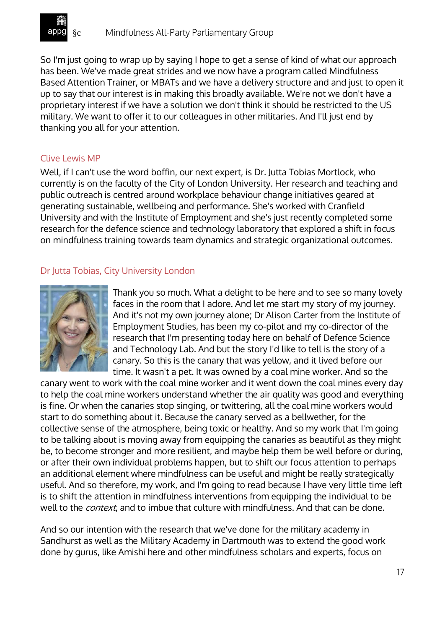

So I'm just going to wrap up by saying I hope to get a sense of kind of what our approach has been. We've made great strides and we now have a program called Mindfulness Based Attention Trainer, or MBATs and we have a delivery structure and and just to open it up to say that our interest is in making this broadly available. We're not we don't have a proprietary interest if we have a solution we don't think it should be restricted to the US military. We want to offer it to our colleagues in other militaries. And I'll just end by thanking you all for your attention.

#### Clive Lewis MP

Well, if I can't use the word boffin, our next expert, is Dr. Jutta Tobias Mortlock, who currently is on the faculty of the City of London University. Her research and teaching and public outreach is centred around workplace behaviour change initiatives geared at generating sustainable, wellbeing and performance. She's worked with Cranfield University and with the Institute of Employment and she's just recently completed some research for the defence science and technology laboratory that explored a shift in focus on mindfulness training towards team dynamics and strategic organizational outcomes.

### Dr Jutta Tobias, City University London



Thank you so much. What a delight to be here and to see so many lovely faces in the room that I adore. And let me start my story of my journey. And it's not my own journey alone; Dr Alison Carter from the Institute of Employment Studies, has been my co-pilot and my co-director of the research that I'm presenting today here on behalf of Defence Science and Technology Lab. And but the story I'd like to tell is the story of a canary. So this is the canary that was yellow, and it lived before our time. It wasn't a pet. It was owned by a coal mine worker. And so the

canary went to work with the coal mine worker and it went down the coal mines every day to help the coal mine workers understand whether the air quality was good and everything is fine. Or when the canaries stop singing, or twittering, all the coal mine workers would start to do something about it. Because the canary served as a bellwether, for the collective sense of the atmosphere, being toxic or healthy. And so my work that I'm going to be talking about is moving away from equipping the canaries as beautiful as they might be, to become stronger and more resilient, and maybe help them be well before or during, or after their own individual problems happen, but to shift our focus attention to perhaps an additional element where mindfulness can be useful and might be really strategically useful. And so therefore, my work, and I'm going to read because I have very little time left is to shift the attention in mindfulness interventions from equipping the individual to be well to the *context*, and to imbue that culture with mindfulness. And that can be done.

And so our intention with the research that we've done for the military academy in Sandhurst as well as the Military Academy in Dartmouth was to extend the good work done by gurus, like Amishi here and other mindfulness scholars and experts, focus on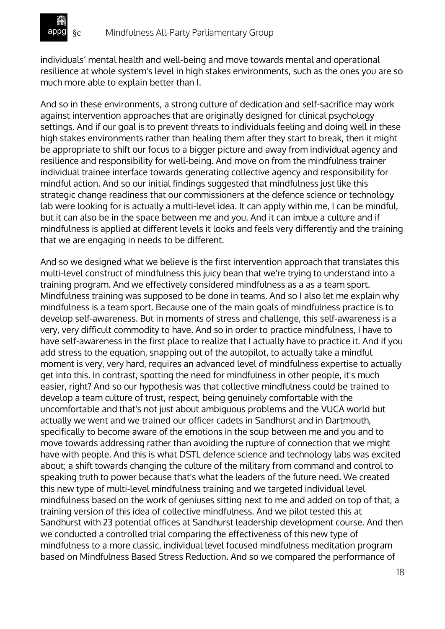individuals' mental health and well-being and move towards mental and operational resilience at whole system's level in high stakes environments, such as the ones you are so much more able to explain better than I.

And so in these environments, a strong culture of dedication and self-sacrifice may work against intervention approaches that are originally designed for clinical psychology settings. And if our goal is to prevent threats to individuals feeling and doing well in these high stakes environments rather than healing them after they start to break, then it might be appropriate to shift our focus to a bigger picture and away from individual agency and resilience and responsibility for well-being. And move on from the mindfulness trainer individual trainee interface towards generating collective agency and responsibility for mindful action. And so our initial findings suggested that mindfulness just like this strategic change readiness that our commissioners at the defence science or technology lab were looking for is actually a multi-level idea. It can apply within me, I can be mindful, but it can also be in the space between me and you. And it can imbue a culture and if mindfulness is applied at different levels it looks and feels very differently and the training that we are engaging in needs to be different.

And so we designed what we believe is the first intervention approach that translates this multi-level construct of mindfulness this juicy bean that we're trying to understand into a training program. And we effectively considered mindfulness as a as a team sport. Mindfulness training was supposed to be done in teams. And so I also let me explain why mindfulness is a team sport. Because one of the main goals of mindfulness practice is to develop self-awareness. But in moments of stress and challenge, this self-awareness is a very, very difficult commodity to have. And so in order to practice mindfulness, I have to have self-awareness in the first place to realize that I actually have to practice it. And if you add stress to the equation, snapping out of the autopilot, to actually take a mindful moment is very, very hard, requires an advanced level of mindfulness expertise to actually get into this. In contrast, spotting the need for mindfulness in other people, it's much easier, right? And so our hypothesis was that collective mindfulness could be trained to develop a team culture of trust, respect, being genuinely comfortable with the uncomfortable and that's not just about ambiguous problems and the VUCA world but actually we went and we trained our officer cadets in Sandhurst and in Dartmouth, specifically to become aware of the emotions in the soup between me and you and to move towards addressing rather than avoiding the rupture of connection that we might have with people. And this is what DSTL defence science and technology labs was excited about; a shift towards changing the culture of the military from command and control to speaking truth to power because that's what the leaders of the future need. We created this new type of multi-level mindfulness training and we targeted individual level mindfulness based on the work of geniuses sitting next to me and added on top of that, a training version of this idea of collective mindfulness. And we pilot tested this at Sandhurst with 23 potential offices at Sandhurst leadership development course. And then we conducted a controlled trial comparing the effectiveness of this new type of mindfulness to a more classic, individual level focused mindfulness meditation program based on Mindfulness Based Stress Reduction. And so we compared the performance of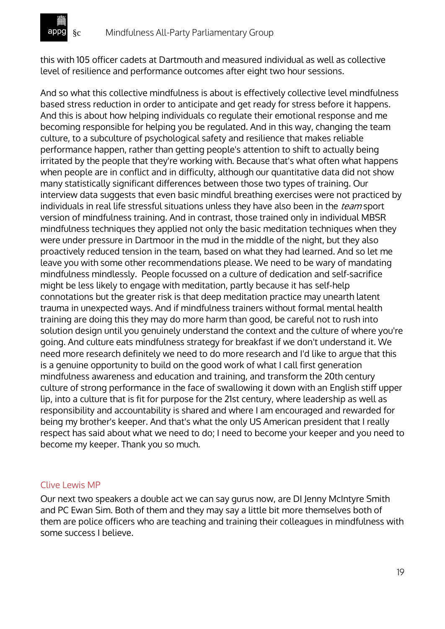this with 105 officer cadets at Dartmouth and measured individual as well as collective level of resilience and performance outcomes after eight two hour sessions.

And so what this collective mindfulness is about is effectively collective level mindfulness based stress reduction in order to anticipate and get ready for stress before it happens. And this is about how helping individuals co regulate their emotional response and me becoming responsible for helping you be regulated. And in this way, changing the team culture, to a subculture of psychological safety and resilience that makes reliable performance happen, rather than getting people's attention to shift to actually being irritated by the people that they're working with. Because that's what often what happens when people are in conflict and in difficulty, although our quantitative data did not show many statistically significant differences between those two types of training. Our interview data suggests that even basic mindful breathing exercises were not practiced by individuals in real life stressful situations unless they have also been in the *team* sport version of mindfulness training. And in contrast, those trained only in individual MBSR mindfulness techniques they applied not only the basic meditation techniques when they were under pressure in Dartmoor in the mud in the middle of the night, but they also proactively reduced tension in the team, based on what they had learned. And so let me leave you with some other recommendations please. We need to be wary of mandating mindfulness mindlessly. People focussed on a culture of dedication and self-sacrifice might be less likely to engage with meditation, partly because it has self-help connotations but the greater risk is that deep meditation practice may unearth latent trauma in unexpected ways. And if mindfulness trainers without formal mental health training are doing this they may do more harm than good, be careful not to rush into solution design until you genuinely understand the context and the culture of where you're going. And culture eats mindfulness strategy for breakfast if we don't understand it. We need more research definitely we need to do more research and I'd like to argue that this is a genuine opportunity to build on the good work of what I call first generation mindfulness awareness and education and training, and transform the 20th century culture of strong performance in the face of swallowing it down with an English stiff upper lip, into a culture that is fit for purpose for the 21st century, where leadership as well as responsibility and accountability is shared and where I am encouraged and rewarded for being my brother's keeper. And that's what the only US American president that I really respect has said about what we need to do; I need to become your keeper and you need to become my keeper. Thank you so much.

#### Clive Lewis MP

Our next two speakers a double act we can say gurus now, are DI Jenny McIntyre Smith and PC Ewan Sim. Both of them and they may say a little bit more themselves both of them are police officers who are teaching and training their colleagues in mindfulness with some success I believe.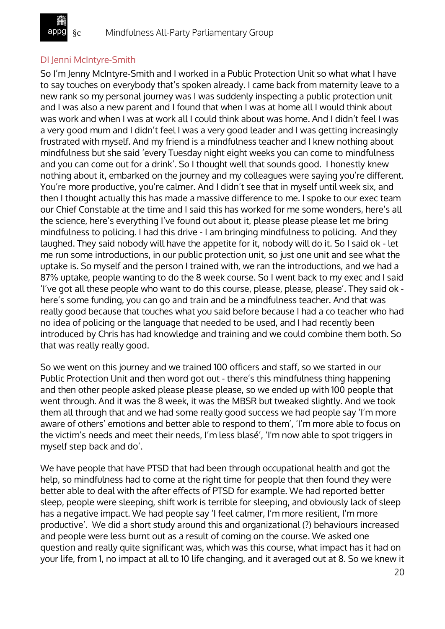### DI Jenni McIntyre-Smith

So I'm Jenny McIntyre-Smith and I worked in a Public Protection Unit so what what I have to say touches on everybody that's spoken already. I came back from maternity leave to a new rank so my personal journey was I was suddenly inspecting a public protection unit and I was also a new parent and I found that when I was at home all I would think about was work and when I was at work all I could think about was home. And I didn't feel I was a very good mum and I didn't feel I was a very good leader and I was getting increasingly frustrated with myself. And my friend is a mindfulness teacher and I knew nothing about mindfulness but she said 'every Tuesday night eight weeks you can come to mindfulness and you can come out for a drink'. So I thought well that sounds good. I honestly knew nothing about it, embarked on the journey and my colleagues were saying you're different. You're more productive, you're calmer. And I didn't see that in myself until week six, and then I thought actually this has made a massive difference to me. I spoke to our exec team our Chief Constable at the time and I said this has worked for me some wonders, here's all the science, here's everything I've found out about it, please please please let me bring mindfulness to policing. I had this drive - I am bringing mindfulness to policing. And they laughed. They said nobody will have the appetite for it, nobody will do it. So I said ok - let me run some introductions, in our public protection unit, so just one unit and see what the uptake is. So myself and the person I trained with, we ran the introductions, and we had a 87% uptake, people wanting to do the 8 week course. So I went back to my exec and I said 'I've got all these people who want to do this course, please, please, please'. They said ok here's some funding, you can go and train and be a mindfulness teacher. And that was really good because that touches what you said before because I had a co teacher who had no idea of policing or the language that needed to be used, and I had recently been introduced by Chris has had knowledge and training and we could combine them both. So that was really really good.

So we went on this journey and we trained 100 officers and staff, so we started in our Public Protection Unit and then word got out - there's this mindfulness thing happening and then other people asked please please please, so we ended up with 100 people that went through. And it was the 8 week, it was the MBSR but tweaked slightly. And we took them all through that and we had some really good success we had people say 'I'm more aware of others' emotions and better able to respond to them', 'I'm more able to focus on the victim's needs and meet their needs, I'm less blasé', 'I'm now able to spot triggers in myself step back and do'.

We have people that have PTSD that had been through occupational health and got the help, so mindfulness had to come at the right time for people that then found they were better able to deal with the after effects of PTSD for example. We had reported better sleep, people were sleeping, shift work is terrible for sleeping, and obviously lack of sleep has a negative impact. We had people say 'I feel calmer, I'm more resilient, I'm more productive'. We did a short study around this and organizational (?) behaviours increased and people were less burnt out as a result of coming on the course. We asked one question and really quite significant was, which was this course, what impact has it had on your life, from 1, no impact at all to 10 life changing, and it averaged out at 8. So we knew it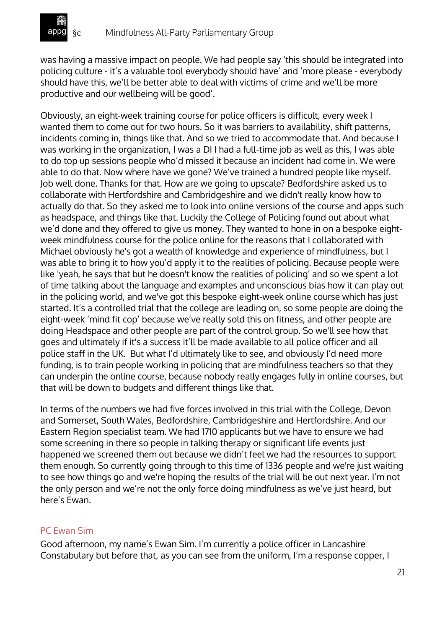was having a massive impact on people. We had people say 'this should be integrated into policing culture - it's a valuable tool everybody should have' and 'more please - everybody should have this, we'll be better able to deal with victims of crime and we'll be more productive and our wellbeing will be good'.

Obviously, an eight-week training course for police officers is difficult, every week I wanted them to come out for two hours. So it was barriers to availability, shift patterns, incidents coming in, things like that. And so we tried to accommodate that. And because I was working in the organization, I was a DI I had a full-time job as well as this, I was able to do top up sessions people who'd missed it because an incident had come in. We were able to do that. Now where have we gone? We've trained a hundred people like myself. Job well done. Thanks for that. How are we going to upscale? Bedfordshire asked us to collaborate with Hertfordshire and Cambridgeshire and we didn't really know how to actually do that. So they asked me to look into online versions of the course and apps such as headspace, and things like that. Luckily the College of Policing found out about what we'd done and they offered to give us money. They wanted to hone in on a bespoke eightweek mindfulness course for the police online for the reasons that I collaborated with Michael obviously he's got a wealth of knowledge and experience of mindfulness, but I was able to bring it to how you'd apply it to the realities of policing. Because people were like 'yeah, he says that but he doesn't know the realities of policing' and so we spent a lot of time talking about the language and examples and unconscious bias how it can play out in the policing world, and we've got this bespoke eight-week online course which has just started. It's a controlled trial that the college are leading on, so some people are doing the eight-week 'mind fit cop' because we've really sold this on fitness, and other people are doing Headspace and other people are part of the control group. So we'll see how that goes and ultimately if it's a success it'll be made available to all police officer and all police staff in the UK. But what I'd ultimately like to see, and obviously I'd need more funding, is to train people working in policing that are mindfulness teachers so that they can underpin the online course, because nobody really engages fully in online courses, but that will be down to budgets and different things like that.

In terms of the numbers we had five forces involved in this trial with the College, Devon and Somerset, South Wales, Bedfordshire, Cambridgeshire and Hertfordshire. And our Eastern Region specialist team. We had 1710 applicants but we have to ensure we had some screening in there so people in talking therapy or significant life events just happened we screened them out because we didn't feel we had the resources to support them enough. So currently going through to this time of 1336 people and we're just waiting to see how things go and we're hoping the results of the trial will be out next year. I'm not the only person and we're not the only force doing mindfulness as we've just heard, but here's Ewan.

## PC Ewan Sim

Good afternoon, my name's Ewan Sim. I'm currently a police officer in Lancashire Constabulary but before that, as you can see from the uniform, I'm a response copper, I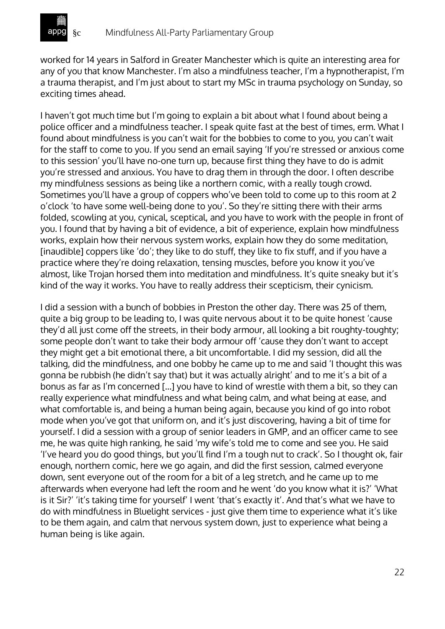

worked for 14 years in Salford in Greater Manchester which is quite an interesting area for any of you that know Manchester. I'm also a mindfulness teacher, I'm a hypnotherapist, I'm a trauma therapist, and I'm just about to start my MSc in trauma psychology on Sunday, so exciting times ahead.

I haven't got much time but I'm going to explain a bit about what I found about being a police officer and a mindfulness teacher. I speak quite fast at the best of times, erm. What I found about mindfulness is you can't wait for the bobbies to come to you, you can't wait for the staff to come to you. If you send an email saying 'If you're stressed or anxious come to this session' you'll have no-one turn up, because first thing they have to do is admit you're stressed and anxious. You have to drag them in through the door. I often describe my mindfulness sessions as being like a northern comic, with a really tough crowd. Sometimes you'll have a group of coppers who've been told to come up to this room at 2 o'clock 'to have some well-being done to you'. So they're sitting there with their arms folded, scowling at you, cynical, sceptical, and you have to work with the people in front of you. I found that by having a bit of evidence, a bit of experience, explain how mindfulness works, explain how their nervous system works, explain how they do some meditation, [inaudible] coppers like 'do'; they like to do stuff, they like to fix stuff, and if you have a practice where they're doing relaxation, tensing muscles, before you know it you've almost, like Trojan horsed them into meditation and mindfulness. It's quite sneaky but it's kind of the way it works. You have to really address their scepticism, their cynicism.

I did a session with a bunch of bobbies in Preston the other day. There was 25 of them, quite a big group to be leading to, I was quite nervous about it to be quite honest 'cause they'd all just come off the streets, in their body armour, all looking a bit roughty-toughty; some people don't want to take their body armour off 'cause they don't want to accept they might get a bit emotional there, a bit uncomfortable. I did my session, did all the talking, did the mindfulness, and one bobby he came up to me and said 'I thought this was gonna be rubbish (he didn't say that) but it was actually alright' and to me it's a bit of a bonus as far as I'm concerned [...] you have to kind of wrestle with them a bit, so they can really experience what mindfulness and what being calm, and what being at ease, and what comfortable is, and being a human being again, because you kind of go into robot mode when you've got that uniform on, and it's just discovering, having a bit of time for yourself. I did a session with a group of senior leaders in GMP, and an officer came to see me, he was quite high ranking, he said 'my wife's told me to come and see you. He said 'I've heard you do good things, but you'll find I'm a tough nut to crack'. So I thought ok, fair enough, northern comic, here we go again, and did the first session, calmed everyone down, sent everyone out of the room for a bit of a leg stretch, and he came up to me afterwards when everyone had left the room and he went 'do you know what it is?' 'What is it Sir?' 'it's taking time for yourself' I went 'that's exactly it'. And that's what we have to do with mindfulness in Bluelight services - just give them time to experience what it's like to be them again, and calm that nervous system down, just to experience what being a human being is like again.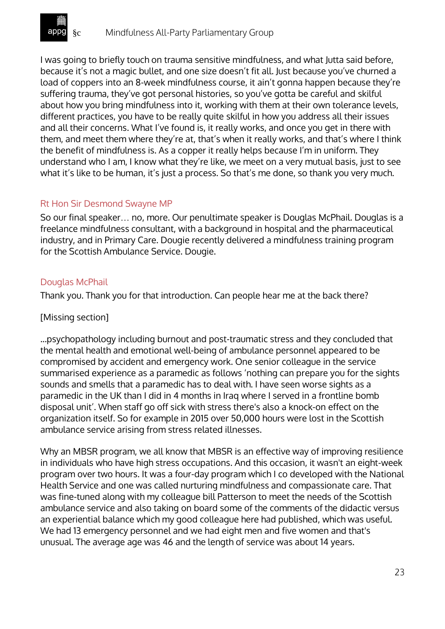

I was going to briefly touch on trauma sensitive mindfulness, and what Jutta said before, because it's not a magic bullet, and one size doesn't fit all. Just because you've churned a load of coppers into an 8-week mindfulness course, it ain't gonna happen because they're suffering trauma, they've got personal histories, so you've gotta be careful and skilful about how you bring mindfulness into it, working with them at their own tolerance levels, different practices, you have to be really quite skilful in how you address all their issues and all their concerns. What I've found is, it really works, and once you get in there with them, and meet them where they're at, that's when it really works, and that's where I think the benefit of mindfulness is. As a copper it really helps because I'm in uniform. They understand who I am, I know what they're like, we meet on a very mutual basis, just to see what it's like to be human, it's just a process. So that's me done, so thank you very much.

### Rt Hon Sir Desmond Swayne MP

So our final speaker… no, more. Our penultimate speaker is Douglas McPhail. Douglas is a freelance mindfulness consultant, with a background in hospital and the pharmaceutical industry, and in Primary Care. Dougie recently delivered a mindfulness training program for the Scottish Ambulance Service. Dougie.

#### Douglas McPhail

Thank you. Thank you for that introduction. Can people hear me at the back there?

#### [Missing section]

...psychopathology including burnout and post-traumatic stress and they concluded that the mental health and emotional well-being of ambulance personnel appeared to be compromised by accident and emergency work. One senior colleague in the service summarised experience as a paramedic as follows 'nothing can prepare you for the sights sounds and smells that a paramedic has to deal with. I have seen worse sights as a paramedic in the UK than I did in 4 months in Iraq where I served in a frontline bomb disposal unit'. When staff go off sick with stress there's also a knock-on effect on the organization itself. So for example in 2015 over 50,000 hours were lost in the Scottish ambulance service arising from stress related illnesses.

Why an MBSR program, we all know that MBSR is an effective way of improving resilience in individuals who have high stress occupations. And this occasion, it wasn't an eight-week program over two hours. It was a four-day program which I co developed with the National Health Service and one was called nurturing mindfulness and compassionate care. That was fine-tuned along with my colleague bill Patterson to meet the needs of the Scottish ambulance service and also taking on board some of the comments of the didactic versus an experiential balance which my good colleague here had published, which was useful. We had 13 emergency personnel and we had eight men and five women and that's unusual. The average age was 46 and the length of service was about 14 years.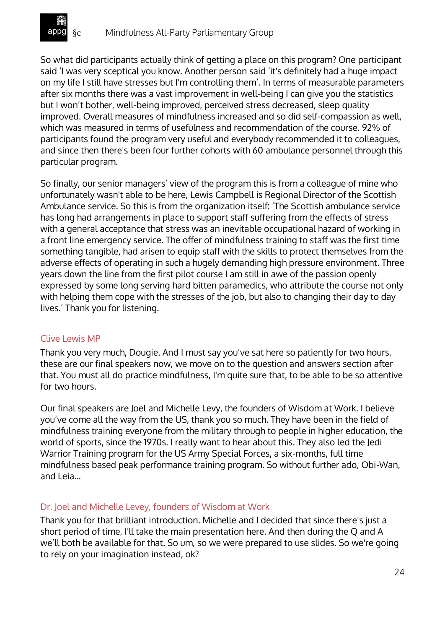

So what did participants actually think of getting a place on this program? One participant said 'I was very sceptical you know. Another person said 'it's definitely had a huge impact on my life I still have stresses but I'm controlling them'. In terms of measurable parameters after six months there was a vast improvement in well-being I can give you the statistics but I won't bother, well-being improved, perceived stress decreased, sleep quality improved. Overall measures of mindfulness increased and so did self-compassion as well, which was measured in terms of usefulness and recommendation of the course. 92% of participants found the program very useful and everybody recommended it to colleagues, and since then there's been four further cohorts with 60 ambulance personnel through this particular program.

So finally, our senior managers' view of the program this is from a colleague of mine who unfortunately wasn't able to be here, Lewis Campbell is Regional Director of the Scottish Ambulance service. So this is from the organization itself: 'The Scottish ambulance service has long had arrangements in place to support staff suffering from the effects of stress with a general acceptance that stress was an inevitable occupational hazard of working in a front line emergency service. The offer of mindfulness training to staff was the first time something tangible, had arisen to equip staff with the skills to protect themselves from the adverse effects of operating in such a hugely demanding high pressure environment. Three years down the line from the first pilot course I am still in awe of the passion openly expressed by some long serving hard bitten paramedics, who attribute the course not only with helping them cope with the stresses of the job, but also to changing their day to day lives.' Thank you for listening.

### Clive Lewis MP

Thank you very much, Dougie. And I must say you've sat here so patiently for two hours, these are our final speakers now, we move on to the question and answers section after that. You must all do practice mindfulness, I'm quite sure that, to be able to be so attentive for two hours.

Our final speakers are Joel and Michelle Levy, the founders of Wisdom at Work. I believe you've come all the way from the US, thank you so much. They have been in the field of mindfulness training everyone from the military through to people in higher education, the world of sports, since the 1970s. I really want to hear about this. They also led the Jedi Warrior Training program for the US Army Special Forces, a six-months, full time mindfulness based peak performance training program. So without further ado, Obi-Wan, and Leia...

#### Dr. Joel and Michelle Levey, founders of Wisdom at Work

Thank you for that brilliant introduction. Michelle and I decided that since there's just a short period of time, I'll take the main presentation here. And then during the Q and A we'll both be available for that. So um, so we were prepared to use slides. So we're going to rely on your imagination instead, ok?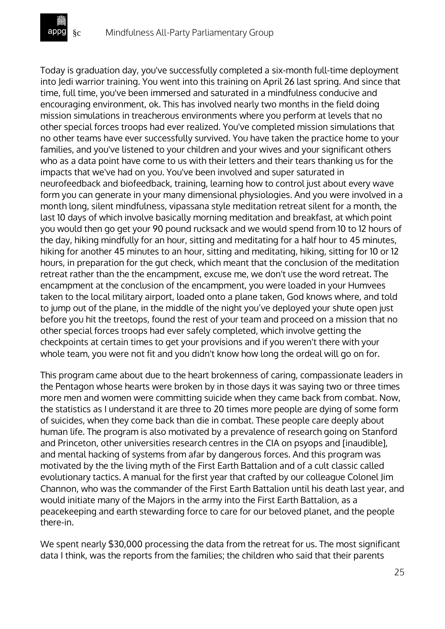Today is graduation day, you've successfully completed a six-month full-time deployment into Jedi warrior training. You went into this training on April 26 last spring. And since that time, full time, you've been immersed and saturated in a mindfulness conducive and encouraging environment, ok. This has involved nearly two months in the field doing mission simulations in treacherous environments where you perform at levels that no other special forces troops had ever realized. You've completed mission simulations that no other teams have ever successfully survived. You have taken the practice home to your families, and you've listened to your children and your wives and your significant others who as a data point have come to us with their letters and their tears thanking us for the impacts that we've had on you. You've been involved and super saturated in neurofeedback and biofeedback, training, learning how to control just about every wave form you can generate in your many dimensional physiologies. And you were involved in a month long, silent mindfulness, vipassana style meditation retreat silent for a month, the last 10 days of which involve basically morning meditation and breakfast, at which point you would then go get your 90 pound rucksack and we would spend from 10 to 12 hours of the day, hiking mindfully for an hour, sitting and meditating for a half hour to 45 minutes, hiking for another 45 minutes to an hour, sitting and meditating, hiking, sitting for 10 or 12 hours, in preparation for the gut check, which meant that the conclusion of the meditation retreat rather than the the encampment, excuse me, we don't use the word retreat. The encampment at the conclusion of the encampment, you were loaded in your Humvees taken to the local military airport, loaded onto a plane taken, God knows where, and told to jump out of the plane, in the middle of the night you've deployed your shute open just before you hit the treetops, found the rest of your team and proceed on a mission that no other special forces troops had ever safely completed, which involve getting the checkpoints at certain times to get your provisions and if you weren't there with your whole team, you were not fit and you didn't know how long the ordeal will go on for.

This program came about due to the heart brokenness of caring, compassionate leaders in the Pentagon whose hearts were broken by in those days it was saying two or three times more men and women were committing suicide when they came back from combat. Now, the statistics as I understand it are three to 20 times more people are dying of some form of suicides, when they come back than die in combat. These people care deeply about human life. The program is also motivated by a prevalence of research going on Stanford and Princeton, other universities research centres in the CIA on psyops and [inaudible], and mental hacking of systems from afar by dangerous forces. And this program was motivated by the the living myth of the First Earth Battalion and of a cult classic called evolutionary tactics. A manual for the first year that crafted by our colleague Colonel Jim Channon, who was the commander of the First Earth Battalion until his death last year, and would initiate many of the Majors in the army into the First Earth Battalion, as a peacekeeping and earth stewarding force to care for our beloved planet, and the people there-in.

We spent nearly \$30,000 processing the data from the retreat for us. The most significant data I think, was the reports from the families; the children who said that their parents